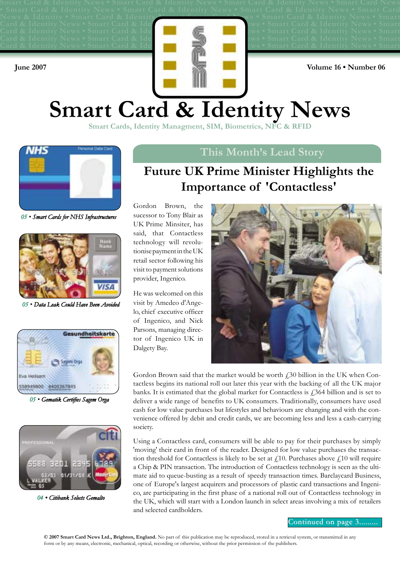News & Identity • Smart Card & Identity News • Smart Card News • Smart Card & Identity News • Smart Card & Identity News • Smart Card & Idei **in the state of the season is smart Card & Identity News • Smart Card & Identity News • Smart Card & Identify Review in the set of the United States in Smart Card & Identity News • Smart** Card & Identity News • Smart Card & Identical Card & Identity News • Smart Card & Identity News • Smart **Card & Identity News • Smart Card & Identify Research Inc. In Section 2. In the Smart Card & Identity News • Smart June 2007 Volume 16 • Number 06** 

# **Smart Card & Identity News**

**Smart Cards, Identity Managment, SIM, Biometrics, NFC & RFII** 



*05 ï Smart Cards for NHS Infrastructures*



*05 ï Data Leak Could Have Been Avoided*



*05 ï Gematik Certifies Sagem Orga*



*04 ï Citibank Selects Gemalto*

### **This Month's Lead Story**

# **Future UK Prime Minister Highlights the Importance of 'Contactless'**

Gordon Brown, the sucessor to Tony Blair as UK Prime Minsiter, has said, that Contactless technology will revolutionise payment in the UK retail sector following his visit to payment solutions provider, Ingenico.

He was welcomed on this visit by Amedeo d'Angelo, chief executive officer of Ingenico, and Nick Parsons, managing director of Ingenico UK in Dalgety Bay.



Gordon Brown said that the market would be worth  $f<sub>1</sub>30$  billion in the UK when Contactless begins its national roll out later this year with the backing of all the UK major banks. It is estimated that the global market for Contactless is  $\hat{\beta}$  billion and is set to deliver a wide range of benefits to UK consumers. Traditionally, consumers have used cash for low value purchases but lifestyles and behaviours are changing and with the convenience offered by debit and credit cards, we are becoming less and less a cash-carrying society.

Using a Contactless card, consumers will be able to pay for their purchases by simply 'moving' their card in front of the reader. Designed for low value purchases the transaction threshold for Contactless is likely to be set at  $f(10)$ . Purchases above  $f(10)$  will require a Chip & PIN transaction. The introduction of Contactless technology is seen as the ultimate aid to queue-busting as a result of speedy transaction times. Barclaycard Business, one of Europe's largest acquirers and processors of plastic card transactions and Ingenico, are participating in the first phase of a national roll out of Contactless technology in the UK, which will start with a London launch in select areas involving a mix of retailers and selected cardholders.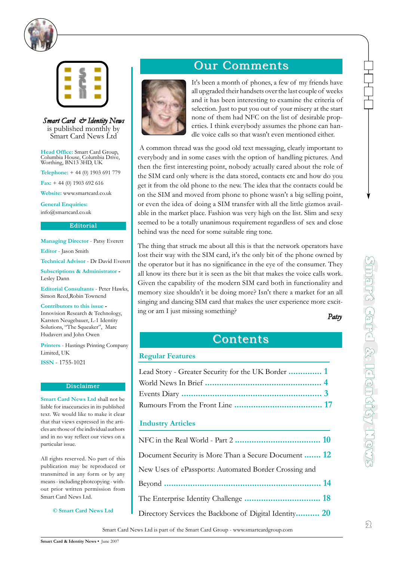



*Smart Card & Identity News* is published monthly by Smart Card News Ltd

**Head Office:** Smart Card Group, Columbia House, Columbia Drive, Worthing, BN13 3HD, UK

**Telephone:** + 44 (0) 1903 691 779

**Fax:** + 44 (0) 1903 692 616

**Website:** www.smartcard.co.uk

**General Enquiries:** info@smartcard.co.uk

#### **Editorial**

**Managing Director** - Patsy Everett

**Editor** - Jason Smith

**Technical Advisor** - Dr David Everett

**Subscriptions & Administrator -**  Lesley Dann

**Editorial Consultants** - Peter Hawks, Simon Reed,Robin Townend

#### **Contributors to this issue -**

Innovision Research & Technology, Karsten Neugebauer, L-1 Identity Solutions, "The Squeaker", Marc Hudavert and John Owen

**Printers** - Hastings Printing Company Limited, UK

**ISSN** - 1755-1021

#### **Disclaimer**

**Smart Card News Ltd** shall not be liable for inaccuracies in its published text. We would like to make it clear that that views expressed in the articles are those of the individual authors and in no way reflect our views on a particular issue.

All rights reserved. No part of this publication may be reproduced or transmitted in any form or by any means - including photcopying - without prior written permission from Smart Card News Ltd.

**© Smart Card News Ltd**

# **Our Comments**



It's been a month of phones, a few of my friends have all upgraded their handsets over the last couple of weeks and it has been interesting to examine the criteria of selection. Just to put you out of your misery at the start none of them had NFC on the list of desirable properties. I think everybody assumes the phone can handle voice calls so that wasn't even mentioned either.

A common thread was the good old text messaging, clearly important to everybody and in some cases with the option of handling pictures. And then the first interesting point, nobody actually cared about the role of the SIM card only where is the data stored, contacts etc and how do you get it from the old phone to the new. The idea that the contacts could be on the SIM and moved from phone to phone wasn't a big selling point, or even the idea of doing a SIM transfer with all the little gizmos available in the market place. Fashion was very high on the list. Slim and sexy seemed to be a totally unanimous requirement regardless of sex and close behind was the need for some suitable ring tone.

The thing that struck me about all this is that the network operators have lost their way with the SIM card, it's the only bit of the phone owned by the operator but it has no significance in the eye of the consumer. They all know its there but it is seen as the bit that makes the voice calls work. Given the capability of the modern SIM card both in functionality and memory size shouldn't it be doing more? Isn't there a market for an all singing and dancing SIM card that makes the user experience more exciting or am I just missing something?

*Patsy*

**m a r**

**t C**

**a r**

**d & I**

**d e n t i t**

**y N**

**e w s**

### **Contents**

#### **Regular Features**

| Lead Story - Greater Security for the UK Border  1 |  |
|----------------------------------------------------|--|
|                                                    |  |
|                                                    |  |
|                                                    |  |

#### **Industry Articles**

| Document Security is More Than a Secure Document  12   |  |
|--------------------------------------------------------|--|
| New Uses of ePassports: Automated Border Crossing and  |  |
|                                                        |  |
|                                                        |  |
| Directory Services the Backbone of Digital Identity 20 |  |
|                                                        |  |

Smart Card News Ltd is part of the Smart Card Group - www.smartcardgroup.com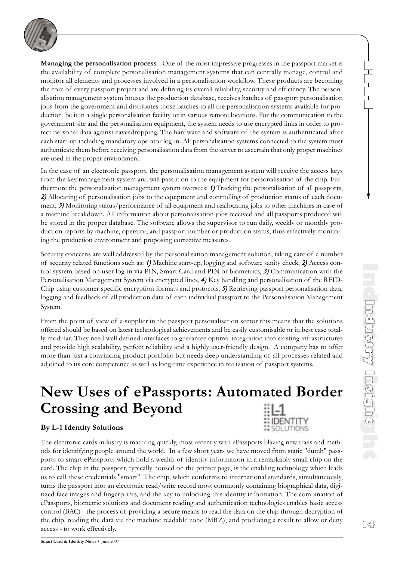

**Managing the personalisation process** - One of the most impressive progresses in the passport market is the availability of complete personalisation management systems that can centrally manage, control and monitor all elements and processes involved in a personalisation workflow. These products are becoming the core of every passport project and are defining its overall reliability, security and efficiency. The personalisation management system houses the production database, receives batches of passport personalisation jobs from the government and distributes those batches to all the personalisation systems available for production, be it in a single personalisation facility or in various remote locations. For the communication to the government site and the personalisation equipment, the system needs to use encrypted links in order to protect personal data against eavesdropping. The hardware and software of the system is authenticated after each start-up including mandatory operator log-in. All personalisation systems connected to the system must authenticate them before receiving personalisation data from the server to ascertain that only proper machines are used in the proper environment.

In the case of an electronic passport, the personalisation management system will receive the access keys from the key management system and will pass it on to the equipment for personalisation of the chip. Furthermore the personalisation management system oversees: *1)* Tracking the personalisation of all passports, 2) Allocating of personalisation jobs to the equipment and controlling of production status of each document, 3) Monitoring status/performance of all equipment and reallocating jobs to other machines in case of a machine breakdown. All information about personalisation jobs received and all passports produced will be stored in the proper database. The software allows the supervisor to run daily, weekly or monthly production reports by machine, operator, and passport number or production status, thus effectively monitoring the production environment and proposing corrective measures.

Security concerns are well addressed by the personalisation management solution, taking care of a number of security related functions such as: *1)* Machine start-up, logging and software sanity check, *2)* Access control system based on user log-in via PIN, Smart Card and PIN or biometrics, *3)* Communication with the Personalisation Management System via encrypted lines, *4)* Key handling and personalisation of the RFID-Chip using customer specific encryption formats and protocols, *5)* Retrieving passport personalisation data, logging and feedback of all production data of each individual passport to the Personalisation Management System.

From the point of view of a supplier in the passport personalisation sector this means that the solutions offered should be based on latest technological achievements and be easily customisable or in best case totally modular. They need well defined interfaces to guarantee optimal integration into existing infrastructures and provide high scalability, perfect reliability and a highly user-friendly design. A company has to offer more than just a convincing product portfolio but needs deep understanding of all processes related and adjoined to its core competence as well as long-time experience in realization of passport systems.

## **New Uses of ePassports: Automated Border Crossing and Beyond** IDENTITY

### **By L-1 Identity Solutions**

The electronic cards industry is maturing quickly, most recently with ePassports blazing new trails and methods for identifying people around the world. In a few short years we have moved from static "dumb" passports to smart ePassports which hold a wealth of identity information in a remarkably small chip on the card. The chip in the passport, typically housed on the printer page, is the enabling technology which leads us to call these credentials "smart". The chip, which conforms to international standards, simultaneously, turns the passport into an electronic read/write record most commonly containing biographical data, digitized face images and fingerprints, and the key to unlocking this identity information. The combination of ePassports, biometric solutions and document reading and authentication technologies enables basic access control (BAC) - the process of providing a secure means to read the data on the chip through decryption of the chip, reading the data via the machine readable zone (MRZ), and producing a result to allow or deny access - to work effectively.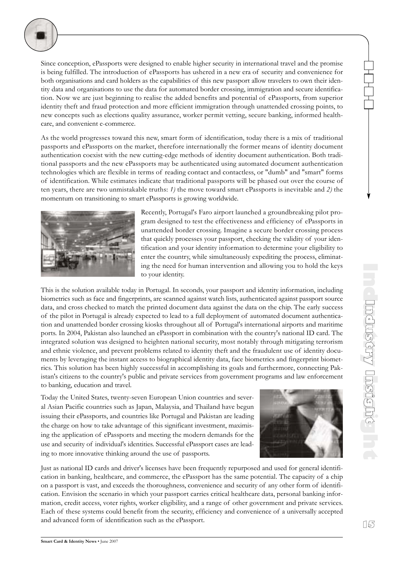

Since conception, ePassports were designed to enable higher security in international travel and the promise is being fulfilled. The introduction of ePassports has ushered in a new era of security and convenience for both organisations and card holders as the capabilities of this new passport allow travelers to own their identity data and organisations to use the data for automated border crossing, immigration and secure identification. Now we are just beginning to realise the added benefits and potential of ePassports, from superior identity theft and fraud protection and more efficient immigration through unattended crossing points, to new concepts such as elections quality assurance, worker permit vetting, secure banking, informed healthcare, and convenient e-commerce.

As the world progresses toward this new, smart form of identification, today there is a mix of traditional passports and ePassports on the market, therefore internationally the former means of identity document authentication coexist with the new cutting-edge methods of identity document authentication. Both traditional passports and the new ePassports may be authenticated using automated document authentication technologies which are flexible in terms of reading contact and contactless, or "dumb" and "smart" forms of identification. While estimates indicate that traditional passports will be phased out over the course of ten years, there are two unmistakable truths: *1)* the move toward smart ePassports is inevitable and *2)* the momentum on transitioning to smart ePassports is growing worldwide.



Recently, Portugal's Faro airport launched a groundbreaking pilot program designed to test the effectiveness and efficiency of ePassports in unattended border crossing. Imagine a secure border crossing process that quickly processes your passport, checking the validity of your identification and your identity information to determine your eligibility to enter the country, while simultaneously expediting the process, eliminating the need for human intervention and allowing you to hold the keys to your identity.

This is the solution available today in Portugal. In seconds, your passport and identity information, including biometrics such as face and fingerprints, are scanned against watch lists, authenticated against passport source data, and cross checked to match the printed document data against the data on the chip. The early success of the pilot in Portugal is already expected to lead to a full deployment of automated document authentication and unattended border crossing kiosks throughout all of Portugal's international airports and maritime ports. In 2004, Pakistan also launched an ePassport in combination with the country's national ID card. The integrated solution was designed to heighten national security, most notably through mitigating terrorism and ethnic violence, and prevent problems related to identity theft and the fraudulent use of identity documents by leveraging the instant access to biographical identity data, face biometrics and fingerprint biometrics. This solution has been highly successful in accomplishing its goals and furthermore, connecting Pakistan's citizens to the country's public and private services from government programs and law enforcement to banking, education and travel.

Today the United States, twenty-seven European Union countries and several Asian Pacific countries such as Japan, Malaysia, and Thailand have begun issuing their ePassports, and countries like Portugal and Pakistan are leading the charge on how to take advantage of this significant investment, maximising the application of ePassports and meeting the modern demands for the use and security of individual's identities. Successful ePassport cases are leading to more innovative thinking around the use of passports.



Just as national ID cards and driver's licenses have been frequently repurposed and used for general identification in banking, healthcare, and commerce, the ePassport has the same potential. The capacity of a chip on a passport is vast, and exceeds the thoroughness, convenience and security of any other form of identification. Envision the scenario in which your passport carries critical healthcare data, personal banking information, credit access, voter rights, worker eligibility, and a range of other government and private services. Each of these systems could benefit from the security, efficiency and convenience of a universally accepted and advanced form of identification such as the ePassport.